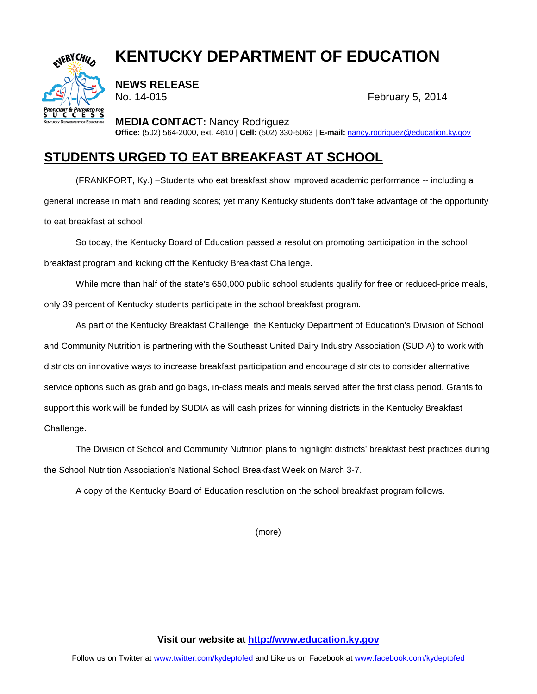## **KENTUCKY DEPARTMENT OF EDUCATION**



**NEWS RELEASE**

No. 14-015 February 5, 2014

**MEDIA CONTACT:** Nancy Rodriguez

**Office:** (502) 564-2000, ext. 4610 | **Cell:** (502) 330-5063 | **E-mail:** [nancy.rodriguez@education.ky.gov](mailto:nancy.rodriguez@education.ky.gov)

## **STUDENTS URGED TO EAT BREAKFAST AT SCHOOL**

(FRANKFORT, Ky.) –Students who eat breakfast show improved academic performance -- including a general increase in math and reading scores; yet many Kentucky students don't take advantage of the opportunity to eat breakfast at school.

So today, the Kentucky Board of Education passed a resolution promoting participation in the school breakfast program and kicking off the Kentucky Breakfast Challenge.

While more than half of the state's 650,000 public school students qualify for free or reduced-price meals, only 39 percent of Kentucky students participate in the school breakfast program.

As part of the Kentucky Breakfast Challenge, the Kentucky Department of Education's Division of School and Community Nutrition is partnering with the Southeast United Dairy Industry Association (SUDIA) to work with districts on innovative ways to increase breakfast participation and encourage districts to consider alternative service options such as grab and go bags, in-class meals and meals served after the first class period. Grants to support this work will be funded by SUDIA as will cash prizes for winning districts in the Kentucky Breakfast Challenge.

The Division of School and Community Nutrition plans to highlight districts' breakfast best practices during the School Nutrition Association's National School Breakfast Week on March 3-7.

A copy of the Kentucky Board of Education resolution on the school breakfast program follows.

(more)

**Visit our website at [http://www.education.ky.gov](http://www.education.ky.gov/)**